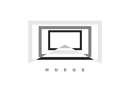

### HU E U E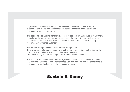Oxygen both sustains and decays. Like HUEUE, that sustains the memory and experience of a movie and decays the finer details, taking the colour, sound and movement by creating a new form.

The poster acts as a primer for the viewer, it provides context and serves to ready them mentally for the journey. As they progress through the movie, the colours help to revisit and sustain memories of the movie and its acts and create a connection as they recognise visual themes and motifs.

The journey through the colours is a journey through time.

Time by its very nature drives decay and as the viewer moves through the journey the colour decays into larger sizes until it disappers completely. Due to this decay viewers cannot go back or revisit what has been lost.

The sound is an aural representation of digital decay, corruption of the bits and bytes that form the backbone of contemporary media as well as being mimetic of the frenetic movements of carrion insects as they break down a carcass.

## Sustain & Decay

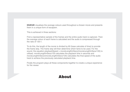**HUEUE** visualises the average colours used throughout a chosen movie and presents them in a unique form of escapism.

This is achieved in three sections:

First a representative sample of the frames and the entire audio track is captured. Then the average colour of each frame is calculated and the audio is compressed through the ratio of 120:1.

Finally the program plays all these components together to create a unique experience for the viewer

To do this, the length of the movie is divided by 60 (base calculate of time) to provide the frame skip. The frame skip will then determine which fame to be used. For the sound, the equation playbackSpeed = movieLengthInSecs/(movieLengthInSecs/120) is utilised. movieLengthInSecs/120 calculates the playback time in seconds and movieLengthInSecs/(movieLengthInSecs/120) calculates the final speed of the audio track to achieve the previously calculated playback time.

#### About

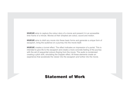HUEUE aims to capture the colour story of a movie and present it in an accessible time frame of a minute. Movies at their simplest are colour, sound and motion.

HUEUE aims to distil any movie into these basic forms and generate a unique form of escapism, bring the audience on a journey into the movie itself.

HUEUE creates a tunnel effect. The effect indicates an impression of a portal. This is intended to give life to the escapism and create a more concrete feeling of the journey with the aid of sequential colours flowing from the movie. The audio is condensed creating a pitch shift, simulating the Doppler effect. All these elements create an experience that accelerate the viewer into the escapism and further into the movie.

### Statement of Work

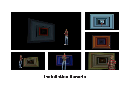



# Installation Senario





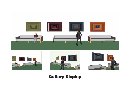







# Gallery Display